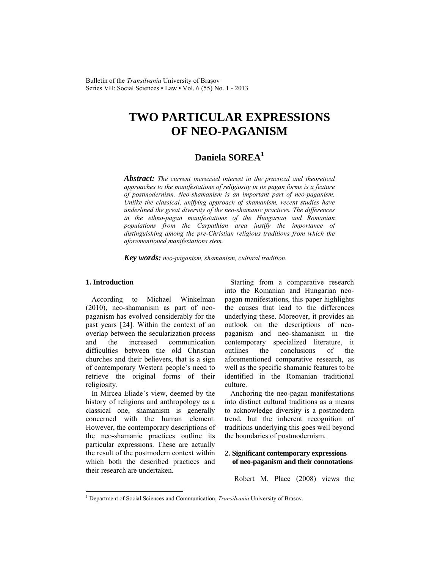Bulletin of the *Transilvania* University of Braşov Series VII: Social Sciences • Law • Vol. 6 (55) No. 1 - 2013

# **TWO PARTICULAR EXPRESSIONS OF NEO-PAGANISM**

## **Daniela SOREA<sup>1</sup>**

*Abstract: The current increased interest in the practical and theoretical approaches to the manifestations of religiosity in its pagan forms is a feature of postmodernism. Neo-shamanism is an important part of neo-paganism. Unlike the classical, unifying approach of shamanism, recent studies have underlined the great diversity of the neo-shamanic practices. The differences in the ethno-pagan manifestations of the Hungarian and Romanian populations from the Carpathian area justify the importance of distinguishing among the pre-Christian religious traditions from which the aforementioned manifestations stem.* 

*Key words: neo-paganism, shamanism, cultural tradition.*

## **1. Introduction**

 $\overline{a}$ 

According to Michael Winkelman (2010), neo-shamanism as part of neopaganism has evolved considerably for the past years [24]. Within the context of an overlap between the secularization process and the increased communication difficulties between the old Christian churches and their believers, that is a sign of contemporary Western people's need to retrieve the original forms of their religiosity.

In Mircea Eliade's view, deemed by the history of religions and anthropology as a classical one, shamanism is generally concerned with the human element. However, the contemporary descriptions of the neo-shamanic practices outline its particular expressions. These are actually the result of the postmodern context within which both the described practices and their research are undertaken.

Starting from a comparative research into the Romanian and Hungarian neopagan manifestations, this paper highlights the causes that lead to the differences underlying these. Moreover, it provides an outlook on the descriptions of neopaganism and neo-shamanism in the contemporary specialized literature, it outlines the conclusions of the aforementioned comparative research, as well as the specific shamanic features to be identified in the Romanian traditional culture.

Anchoring the neo-pagan manifestations into distinct cultural traditions as a means to acknowledge diversity is a postmodern trend, but the inherent recognition of traditions underlying this goes well beyond the boundaries of postmodernism.

## **2. Significant contemporary expressions of neo-paganism and their connotations**

Robert M. Place (2008) views the

<sup>&</sup>lt;sup>1</sup> Department of Social Sciences and Communication, *Transilvania* University of Brasov.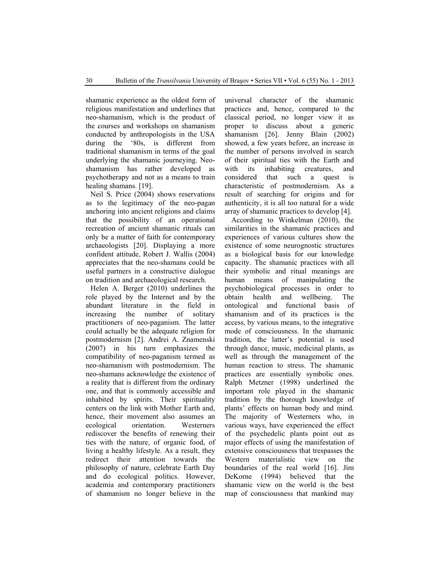shamanic experience as the oldest form of religious manifestation and underlines that neo-shamanism, which is the product of the courses and workshops on shamanism conducted by anthropologists in the USA during the '80s, is different from traditional shamanism in terms of the goal underlying the shamanic journeying. Neoshamanism has rather developed as psychotherapy and not as a means to train healing shamans. [19].

Neil S. Price (2004) shows reservations as to the legitimacy of the neo-pagan anchoring into ancient religions and claims that the possibility of an operational recreation of ancient shamanic rituals can only be a matter of faith for contemporary archaeologists [20]. Displaying a more confident attitude, Robert J. Wallis (2004) appreciates that the neo-shamans could be useful partners in a constructive dialogue on tradition and archaeological research.

Helen A. Berger (2010) underlines the role played by the Internet and by the abundant literature in the field in increasing the number of solitary practitioners of neo-paganism. The latter could actually be the adequate religion for postmodernism [2]. Andrei A. Znamenski (2007) in his turn emphasizes the compatibility of neo-paganism termed as neo-shamanism with postmodernism. The neo-shamans acknowledge the existence of a reality that is different from the ordinary one, and that is commonly accessible and inhabited by spirits. Their spirituality centers on the link with Mother Earth and, hence, their movement also assumes an ecological orientation. Westerners rediscover the benefits of renewing their ties with the nature, of organic food, of living a healthy lifestyle. As a result, they redirect their attention towards the philosophy of nature, celebrate Earth Day and do ecological politics. However, academia and contemporary practitioners of shamanism no longer believe in the universal character of the shamanic practices and, hence, compared to the classical period, no longer view it as proper to discuss about a generic shamanism [26]. Jenny Blain (2002) showed, a few years before, an increase in the number of persons involved in search of their spiritual ties with the Earth and with its inhabiting creatures, and considered that such a quest is characteristic of postmodernism. As a result of searching for origins and for authenticity, it is all too natural for a wide array of shamanic practices to develop [4].

 According to Winkelman (2010), the similarities in the shamanic practices and experiences of various cultures show the existence of some neurognostic structures as a biological basis for our knowledge capacity. The shamanic practices with all their symbolic and ritual meanings are human means of manipulating the psychobiological processes in order to obtain health and wellbeing. The ontological and functional basis of shamanism and of its practices is the access, by various means, to the integrative mode of consciousness. In the shamanic tradition, the latter's potential is used through dance, music, medicinal plants, as well as through the management of the human reaction to stress. The shamanic practices are essentially symbolic ones. Ralph Metzner (1998) underlined the important role played in the shamanic tradition by the thorough knowledge of plants' effects on human body and mind. The majority of Westerners who, in various ways, have experienced the effect of the psychedelic plants point out as major effects of using the manifestation of extensive consciousness that trespasses the Western materialistic view on the boundaries of the real world [16]. Jim DeKorne (1994) believed that the shamanic view on the world is the best map of consciousness that mankind may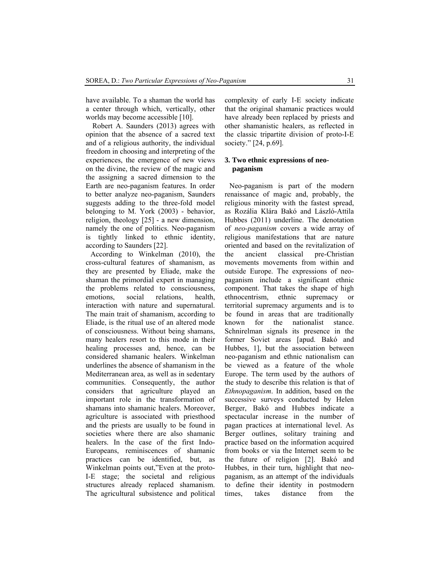have available. To a shaman the world has a center through which, vertically, other worlds may become accessible [10].

 Robert A. Saunders (2013) agrees with opinion that the absence of a sacred text and of a religious authority, the individual freedom in choosing and interpreting of the experiences, the emergence of new views on the divine, the review of the magic and the assigning a sacred dimension to the Earth are neo-paganism features. In order to better analyze neo-paganism, Saunders suggests adding to the three-fold model belonging to M. York (2003) - behavior, religion, theology [25] - a new dimension, namely the one of politics. Neo-paganism is tightly linked to ethnic identity, according to Saunders [22].

According to Winkelman (2010), the cross-cultural features of shamanism, as they are presented by Eliade, make the shaman the primordial expert in managing the problems related to consciousness, emotions, social relations, health, interaction with nature and supernatural. The main trait of shamanism, according to Eliade, is the ritual use of an altered mode of consciousness. Without being shamans, many healers resort to this mode in their healing processes and, hence, can be considered shamanic healers. Winkelman underlines the absence of shamanism in the Mediterranean area, as well as in sedentary communities. Consequently, the author considers that agriculture played an important role in the transformation of shamans into shamanic healers. Moreover, agriculture is associated with priesthood and the priests are usually to be found in societies where there are also shamanic healers. In the case of the first Indo-Europeans, reminiscences of shamanic practices can be identified, but, as Winkelman points out,"Even at the proto-I-E stage; the societal and religious structures already replaced shamanism. The agricultural subsistence and political complexity of early I-E society indicate that the original shamanic practices would have already been replaced by priests and other shamanistic healers, as reflected in the classic tripartite division of proto-I-E society." [24, p.69].

## **3. Two ethnic expressions of neopaganism**

Neo-paganism is part of the modern renaissance of magic and, probably, the religious minority with the fastest spread, as Rozália Klára Bakó and László-Attila Hubbes (2011) underline. The denotation of *neo-paganism* covers a wide array of religious manifestations that are nature oriented and based on the revitalization of the ancient classical pre-Christian movements movements from within and outside Europe. The expressions of neopaganism include a significant ethnic component. That takes the shape of high ethnocentrism, ethnic supremacy or territorial supremacy arguments and is to be found in areas that are traditionally known for the nationalist stance. Schnirelman signals its presence in the former Soviet areas [apud. Bakó and Hubbes, 1], but the association between neo-paganism and ethnic nationalism can be viewed as a feature of the whole Europe. The term used by the authors of the study to describe this relation is that of *Ethnopaganism*. In addition, based on the successive surveys conducted by Helen Berger, Bakó and Hubbes indicate a spectacular increase in the number of pagan practices at international level. As Berger outlines, solitary training and practice based on the information acquired from books or via the Internet seem to be the future of religion [2]. Bakó and Hubbes, in their turn, highlight that neopaganism, as an attempt of the individuals to define their identity in postmodern times, takes distance from the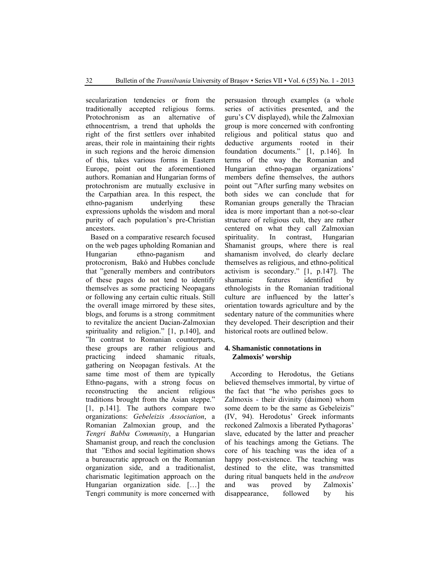secularization tendencies or from the traditionally accepted religious forms. Protochronism as an alternative of ethnocentrism, a trend that upholds the right of the first settlers over inhabited areas, their role in maintaining their rights in such regions and the heroic dimension of this, takes various forms in Eastern Europe, point out the aforementioned authors. Romanian and Hungarian forms of protochronism are mutually exclusive in the Carpathian area. In this respect, the ethno-paganism underlying these expressions upholds the wisdom and moral purity of each population's pre-Christian ancestors.

Based on a comparative research focused on the web pages upholding Romanian and Hungarian ethno-paganism and protocronism, Bakó and Hubbes conclude that "generally members and contributors of these pages do not tend to identify themselves as some practicing Neopagans or following any certain cultic rituals. Still the overall image mirrored by these sites, blogs, and forums is a strong commitment to revitalize the ancient Dacian-Zalmoxian spirituality and religion." [1, p.140], and "In contrast to Romanian counterparts, these groups are rather religious and practicing indeed shamanic rituals, gathering on Neopagan festivals. At the same time most of them are typically Ethno-pagans, with a strong focus on reconstructing the ancient religious traditions brought from the Asian steppe." [1, p.141]. The authors compare two organizations: *Gebeleizis Association*, a Romanian Zalmoxian group, and the *Tengri Babba Community*, a Hungarian Shamanist group, and reach the conclusion that "Ethos and social legitimation shows a bureaucratic approach on the Romanian organization side, and a traditionalist, charismatic legitimation approach on the Hungarian organization side. […] the Tengri community is more concerned with persuasion through examples (a whole series of activities presented, and the guru's CV displayed), while the Zalmoxian group is more concerned with confronting religious and political status quo and deductive arguments rooted in their foundation documents." [1, p.146]. In terms of the way the Romanian and Hungarian ethno-pagan organizations' members define themselves, the authors point out "After surfing many websites on both sides we can conclude that for Romanian groups generally the Thracian idea is more important than a not-so-clear structure of religious cult, they are rather centered on what they call Zalmoxian spirituality. In contrast, Hungarian Shamanist groups, where there is real shamanism involved, do clearly declare themselves as religious, and ethno-political activism is secondary." [1, p.147]. The shamanic features identified by ethnologists in the Romanian traditional culture are influenced by the latter's orientation towards agriculture and by the sedentary nature of the communities where they developed. Their description and their historical roots are outlined below.

## **4. Shamanistic connotations in Zalmoxis' worship**

According to Herodotus, the Getians believed themselves immortal, by virtue of the fact that "he who perishes goes to Zalmoxis - their divinity (daimon) whom some deem to be the same as Gebeleizis" (IV, 94). Herodotus' Greek informants reckoned Zalmoxis a liberated Pythagoras' slave, educated by the latter and preacher of his teachings among the Getians. The core of his teaching was the idea of a happy post-existence. The teaching was destined to the elite, was transmitted during ritual banquets held in the *andreon* and was proved by Zalmoxis' disappearance, followed by his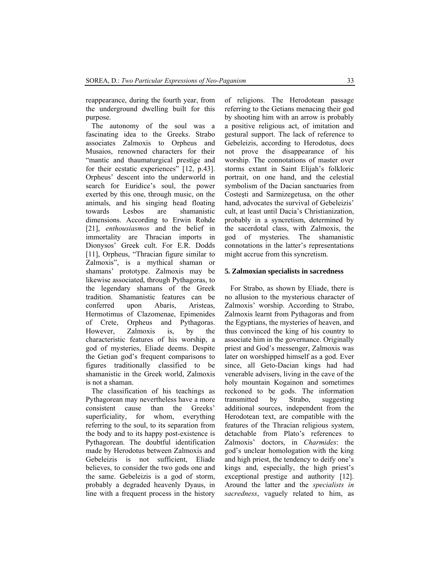reappearance, during the fourth year, from the underground dwelling built for this purpose.

The autonomy of the soul was a fascinating idea to the Greeks. Strabo associates Zalmoxis to Orpheus and Musaios, renowned characters for their "mantic and thaumaturgical prestige and for their ecstatic experiences" [12, p.43]. Orpheus' descent into the underworld in search for Euridice's soul, the power exerted by this one, through music, on the animals, and his singing head floating towards Lesbos are shamanistic dimensions. According to Erwin Rohde [21], *enthousiasmos* and the belief in immortality are Thracian imports in Dionysos' Greek cult. For E.R. Dodds [11], Orpheus, "Thracian figure similar to Zalmoxis", is a mythical shaman or shamans' prototype. Zalmoxis may be likewise associated, through Pythagoras, to the legendary shamans of the Greek tradition. Shamanistic features can be conferred upon Abaris, Aristeas, Hermotimus of Clazomenae, Epimenides of Crete, Orpheus and Pythagoras. However, Zalmoxis is, by the characteristic features of his worship, a god of mysteries, Eliade deems. Despite the Getian god's frequent comparisons to figures traditionally classified to be shamanistic in the Greek world, Zalmoxis is not a shaman.

The classification of his teachings as Pythagorean may nevertheless have a more consistent cause than the Greeks' superficiality, for whom, everything referring to the soul, to its separation from the body and to its happy post-existence is Pythagorean. The doubtful identification made by Herodotus between Zalmoxis and Gebeleizis is not sufficient, Eliade believes, to consider the two gods one and the same. Gebeleizis is a god of storm, probably a degraded heavenly Dyaus, in line with a frequent process in the history of religions. The Herodotean passage referring to the Getians menacing their god by shooting him with an arrow is probably a positive religious act, of imitation and gestural support. The lack of reference to Gebeleizis, according to Herodotus, does not prove the disappearance of his worship. The connotations of master over storms extant in Saint Elijah's folkloric portrait, on one hand, and the celestial symbolism of the Dacian sanctuaries from Costeşti and Sarmizegetusa, on the other hand, advocates the survival of Gebeleizis' cult, at least until Dacia's Christianization, probably in a syncretism, determined by the sacerdotal class, with Zalmoxis, the god of mysteries. The shamanistic connotations in the latter's representations might accrue from this syncretism.

#### **5. Zalmoxian specialists in sacredness**

For Strabo, as shown by Eliade, there is no allusion to the mysterious character of Zalmoxis' worship. According to Strabo, Zalmoxis learnt from Pythagoras and from the Egyptians, the mysteries of heaven, and thus convinced the king of his country to associate him in the governance. Originally priest and God's messenger, Zalmoxis was later on worshipped himself as a god. Ever since, all Geto-Dacian kings had had venerable advisers, living in the cave of the holy mountain Kogainon and sometimes reckoned to be gods. The information transmitted by Strabo, suggesting additional sources, independent from the Herodotean text, are compatible with the features of the Thracian religious system, detachable from Plato's references to Zalmoxis' doctors, in *Charmides*: the god's unclear homologation with the king and high priest, the tendency to deify one's kings and, especially, the high priest's exceptional prestige and authority [12]. Around the latter and the *specialists in sacredness*, vaguely related to him, as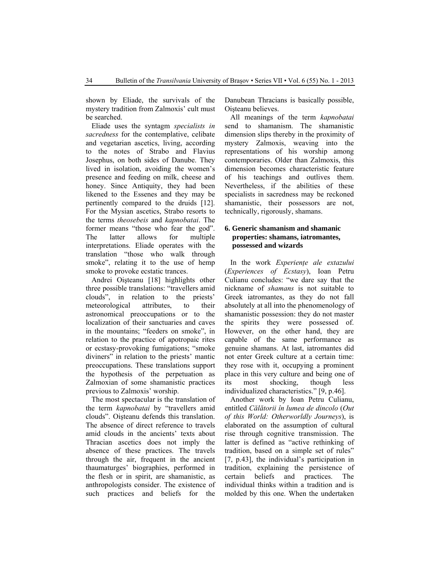shown by Eliade, the survivals of the mystery tradition from Zalmoxis' cult must be searched.

Eliade uses the syntagm *specialists in sacredness* for the contemplative, celibate and vegetarian ascetics, living, according to the notes of Strabo and Flavius Josephus, on both sides of Danube. They lived in isolation, avoiding the women's presence and feeding on milk, cheese and honey. Since Antiquity, they had been likened to the Essenes and they may be pertinently compared to the druids [12]. For the Mysian ascetics, Strabo resorts to the terms *theosebeis* and *kapnobatai*. The former means "those who fear the god". The latter allows for multiple interpretations. Eliade operates with the translation "those who walk through smoke", relating it to the use of hemp smoke to provoke ecstatic trances.

Andrei Oişteanu [18] highlights other three possible translations: "travellers amid clouds", in relation to the priests' meteorological attributes, to their astronomical preoccupations or to the localization of their sanctuaries and caves in the mountains; "feeders on smoke", in relation to the practice of apotropaic rites or ecstasy-provoking fumigations; "smoke diviners" in relation to the priests' mantic preoccupations. These translations support the hypothesis of the perpetuation as Zalmoxian of some shamanistic practices previous to Zalmoxis' worship.

The most spectacular is the translation of the term *kapnobatai* by "travellers amid clouds". Oisteanu defends this translation. The absence of direct reference to travels amid clouds in the ancients' texts about Thracian ascetics does not imply the absence of these practices. The travels through the air, frequent in the ancient thaumaturges' biographies, performed in the flesh or in spirit, are shamanistic, as anthropologists consider. The existence of such practices and beliefs for the

Danubean Thracians is basically possible, Oisteanu believes.

All meanings of the term *kapnobatai* send to shamanism. The shamanistic dimension slips thereby in the proximity of mystery Zalmoxis, weaving into the representations of his worship among contemporaries. Older than Zalmoxis, this dimension becomes characteristic feature of his teachings and outlives them. Nevertheless, if the abilities of these specialists in sacredness may be reckoned shamanistic, their possessors are not, technically, rigorously, shamans.

## **6. Generic shamanism and shamanic properties: shamans, iatromantes, possessed and wizards**

In the work *Experienţe ale extazului* (*Experiences of Ecstasy*), Ioan Petru Culianu concludes: "we dare say that the nickname of *shamans* is not suitable to Greek iatromantes, as they do not fall absolutely at all into the phenomenology of shamanistic possession: they do not master the spirits they were possessed of. However, on the other hand, they are capable of the same performance as genuine shamans. At last, iatromantes did not enter Greek culture at a certain time: they rose with it, occupying a prominent place in this very culture and being one of its most shocking, though less individualized characteristics." [9, p.46].

Another work by Ioan Petru Culianu, entitled *Călătorii în lumea de dincolo* (*Out of this World: Otherworldly Journeys*), is elaborated on the assumption of cultural rise through cognitive transmission. The latter is defined as "active rethinking of tradition, based on a simple set of rules" [7, p.43], the individual's participation in tradition, explaining the persistence of certain beliefs and practices. The individual thinks within a tradition and is molded by this one. When the undertaken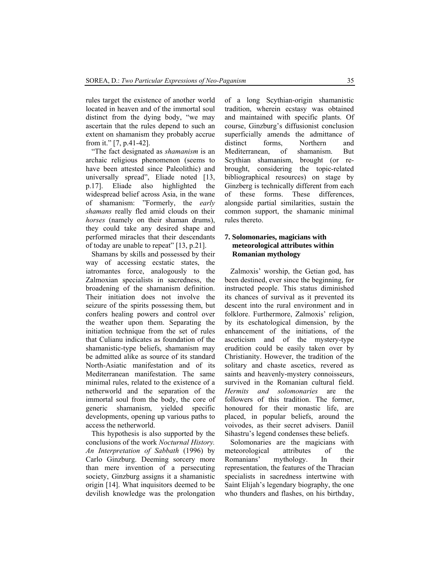rules target the existence of another world located in heaven and of the immortal soul distinct from the dying body, "we may ascertain that the rules depend to such an extent on shamanism they probably accrue from it." [7, p.41-42].

"The fact designated as *shamanism* is an archaic religious phenomenon (seems to have been attested since Paleolithic) and universally spread", Eliade noted [13, p.17]. Eliade also highlighted the widespread belief across Asia, in the wane of shamanism: "Formerly, the *early shamans* really fled amid clouds on their *horses* (namely on their shaman drums), they could take any desired shape and performed miracles that their descendants of today are unable to repeat" [13, p.21].

Shamans by skills and possessed by their way of accessing ecstatic states, the iatromantes force, analogously to the Zalmoxian specialists in sacredness, the broadening of the shamanism definition. Their initiation does not involve the seizure of the spirits possessing them, but confers healing powers and control over the weather upon them. Separating the initiation technique from the set of rules that Culianu indicates as foundation of the shamanistic-type beliefs, shamanism may be admitted alike as source of its standard North-Asiatic manifestation and of its Mediterranean manifestation. The same minimal rules, related to the existence of a netherworld and the separation of the immortal soul from the body, the core of generic shamanism, yielded specific developments, opening up various paths to access the netherworld.

This hypothesis is also supported by the conclusions of the work *Nocturnal History. An Interpretation of Sabbath* (1996) by Carlo Ginzburg. Deeming sorcery more than mere invention of a persecuting society, Ginzburg assigns it a shamanistic origin [14]. What inquisitors deemed to be devilish knowledge was the prolongation of a long Scythian-origin shamanistic tradition, wherein ecstasy was obtained and maintained with specific plants. Of course, Ginzburg's diffusionist conclusion superficially amends the admittance of distinct forms, Northern and Mediterranean, of shamanism. But Scythian shamanism, brought (or rebrought, considering the topic-related bibliographical resources) on stage by Ginzberg is technically different from each of these forms. These differences, alongside partial similarities, sustain the common support, the shamanic minimal rules thereto.

## **7. Solomonaries, magicians with meteorological attributes within Romanian mythology**

Zalmoxis' worship, the Getian god, has been destined, ever since the beginning, for instructed people. This status diminished its chances of survival as it prevented its descent into the rural environment and in folklore. Furthermore, Zalmoxis' religion, by its eschatological dimension, by the enhancement of the initiations, of the asceticism and of the mystery-type erudition could be easily taken over by Christianity. However, the tradition of the solitary and chaste ascetics, revered as saints and heavenly-mystery connoisseurs, survived in the Romanian cultural field. *Hermits and solomonaries* are the followers of this tradition. The former, honoured for their monastic life, are placed, in popular beliefs, around the voivodes, as their secret advisers. Daniil Sihastru's legend condenses these beliefs.

Solomonaries are the magicians with meteorological attributes of the Romanians' mythology. In their representation, the features of the Thracian specialists in sacredness intertwine with Saint Elijah's legendary biography, the one who thunders and flashes, on his birthday,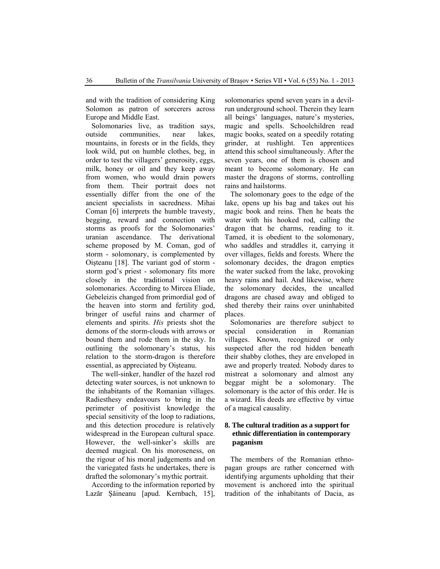and with the tradition of considering King Solomon as patron of sorcerers across Europe and Middle East.

Solomonaries live, as tradition says, outside communities, near lakes, mountains, in forests or in the fields, they look wild, put on humble clothes, beg, in order to test the villagers' generosity, eggs, milk, honey or oil and they keep away from women, who would drain powers from them. Their portrait does not essentially differ from the one of the ancient specialists in sacredness. Mihai Coman [6] interprets the humble travesty, begging, reward and connection with storms as proofs for the Solomonaries' uranian ascendance. The derivational scheme proposed by M. Coman, god of storm - solomonary, is complemented by Oişteanu [18]. The variant god of storm storm god's priest - solomonary fits more closely in the traditional vision on solomonaries. According to Mircea Eliade, Gebeleizis changed from primordial god of the heaven into storm and fertility god, bringer of useful rains and charmer of elements and spirits. *His* priests shot the demons of the storm-clouds with arrows or bound them and rode them in the sky. In outlining the solomonary's status, his relation to the storm-dragon is therefore essential, as appreciated by Oişteanu.

The well-sinker, handler of the hazel rod detecting water sources, is not unknown to the inhabitants of the Romanian villages. Radiesthesy endeavours to bring in the perimeter of positivist knowledge the special sensitivity of the loop to radiations, and this detection procedure is relatively widespread in the European cultural space. However, the well-sinker's skills are deemed magical. On his moroseness, on the rigour of his moral judgements and on the variegated fasts he undertakes, there is drafted the solomonary's mythic portrait.

According to the information reported by Lazăr Şăineanu [apud. Kernbach, 15], solomonaries spend seven years in a devilrun underground school. Therein they learn all beings' languages, nature's mysteries, magic and spells. Schoolchildren read magic books, seated on a speedily rotating grinder, at rushlight. Ten apprentices attend this school simultaneously. After the seven years, one of them is chosen and meant to become solomonary. He can master the dragons of storms, controlling rains and hailstorms.

The solomonary goes to the edge of the lake, opens up his bag and takes out his magic book and reins. Then he beats the water with his hooked rod, calling the dragon that he charms, reading to it. Tamed, it is obedient to the solomonary, who saddles and straddles it, carrying it over villages, fields and forests. Where the solomonary decides, the dragon empties the water sucked from the lake, provoking heavy rains and hail. And likewise, where the solomonary decides, the uncalled dragons are chased away and obliged to shed thereby their rains over uninhabited places.

Solomonaries are therefore subject to special consideration in Romanian villages. Known, recognized or only suspected after the rod hidden beneath their shabby clothes, they are enveloped in awe and properly treated. Nobody dares to mistreat a solomonary and almost any beggar might be a solomonary. The solomonary is the actor of this order. He is a wizard. His deeds are effective by virtue of a magical causality.

## **8. The cultural tradition as a support for ethnic differentiation in contemporary paganism**

The members of the Romanian ethnopagan groups are rather concerned with identifying arguments upholding that their movement is anchored into the spiritual tradition of the inhabitants of Dacia, as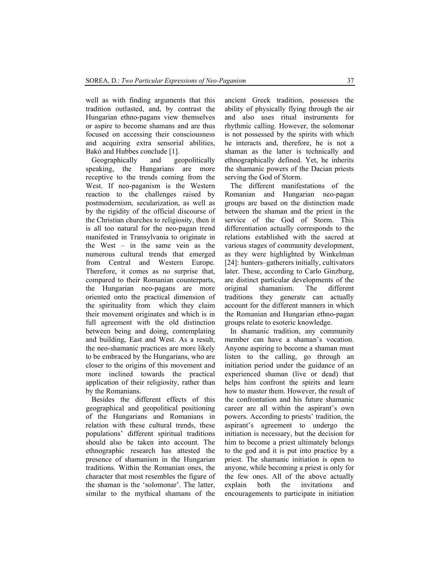well as with finding arguments that this tradition outlasted, and, by contrast the Hungarian ethno-pagans view themselves or aspire to become shamans and are thus focused on accessing their consciousness and acquiring extra sensorial abilities, Bakó and Hubbes conclude [1].

Geographically and geopolitically speaking, the Hungarians are more receptive to the trends coming from the West. If neo-paganism is the Western reaction to the challenges raised by postmodernism, secularization, as well as by the rigidity of the official discourse of the Christian churches to religiosity, then it is all too natural for the neo-pagan trend manifested in Transylvania to originate in the West – in the same vein as the numerous cultural trends that emerged from Central and Western Europe. Therefore, it comes as no surprise that, compared to their Romanian counterparts, the Hungarian neo-pagans are more oriented onto the practical dimension of the spirituality from which they claim their movement originates and which is in full agreement with the old distinction between being and doing, contemplating and building, East and West. As a result, the neo-shamanic practices are more likely to be embraced by the Hungarians, who are closer to the origins of this movement and more inclined towards the practical application of their religiosity, rather than by the Romanians.

Besides the different effects of this geographical and geopolitical positioning of the Hungarians and Romanians in relation with these cultural trends, these populations' different spiritual traditions should also be taken into account. The ethnographic research has attested the presence of shamanism in the Hungarian traditions. Within the Romanian ones, the character that most resembles the figure of the shaman is the 'solomonar'. The latter, similar to the mythical shamans of the ancient Greek tradition, possesses the ability of physically flying through the air and also uses ritual instruments for rhythmic calling. However, the solomonar is not possessed by the spirits with which he interacts and, therefore, he is not a shaman as the latter is technically and ethnographically defined. Yet, he inherits the shamanic powers of the Dacian priests serving the God of Storm.

The different manifestations of the Romanian and Hungarian neo-pagan groups are based on the distinction made between the shaman and the priest in the service of the God of Storm. This differentiation actually corresponds to the relations established with the sacred at various stages of community development, as they were highlighted by Winkelman [24]: hunters–gatherers initially, cultivators later. These, according to Carlo Ginzburg, are distinct particular developments of the original shamanism. The different traditions they generate can actually account for the different manners in which the Romanian and Hungarian ethno-pagan groups relate to esoteric knowledge.

In shamanic tradition, any community member can have a shaman's vocation. Anyone aspiring to become a shaman must listen to the calling, go through an initiation period under the guidance of an experienced shaman (live or dead) that helps him confront the spirits and learn how to master them. However, the result of the confrontation and his future shamanic career are all within the aspirant's own powers. According to priests' tradition, the aspirant's agreement to undergo the initiation is necessary, but the decision for him to become a priest ultimately belongs to the god and it is put into practice by a priest. The shamanic initiation is open to anyone, while becoming a priest is only for the few ones. All of the above actually explain both the invitations and encouragements to participate in initiation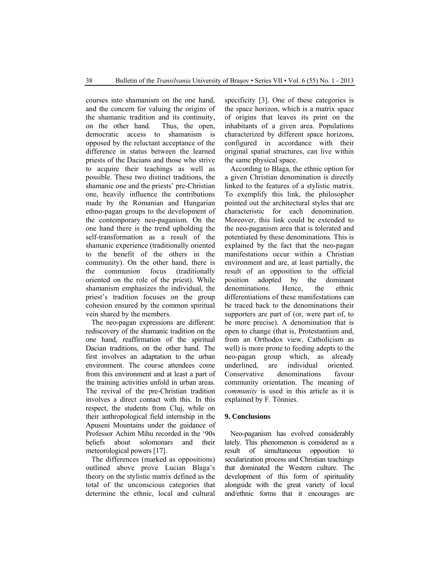courses into shamanism on the one hand, and the concern for valuing the origins of the shamanic tradition and its continuity, on the other hand. Thus, the open, democratic access to shamanism is opposed by the reluctant acceptance of the difference in status between the learned priests of the Dacians and those who strive to acquire their teachings as well as possible. These two distinct traditions, the shamanic one and the priests' pre-Christian one, heavily influence the contributions made by the Romanian and Hungarian ethno-pagan groups to the development of the contemporary neo-paganism. On the one hand there is the trend upholding the self-transformation as a result of the shamanic experience (traditionally oriented to the benefit of the others in the community). On the other hand, there is the communion focus (traditionally oriented on the role of the priest). While shamanism emphasizes the individual, the priest's tradition focuses on the group cohesion ensured by the common spiritual vein shared by the members.

The neo-pagan expressions are different: rediscovery of the shamanic tradition on the one hand, reaffirmation of the spiritual Dacian traditions, on the other hand. The first involves an adaptation to the urban environment. The course attendees come from this environment and at least a part of the training activities unfold in urban areas. The revival of the pre-Christian tradition involves a direct contact with this. In this respect, the students from Cluj, while on their anthropological field internship in the Apuseni Mountains under the guidance of Professor Achim Mihu recorded in the '90s beliefs about solomonars and their meteorological powers [17].

The differences (marked as oppositions) outlined above prove Lucian Blaga's theory on the stylistic matrix defined as the total of the unconscious categories that determine the ethnic, local and cultural specificity [3]. One of these categories is the space horizon, which is a matrix space of origins that leaves its print on the inhabitants of a given area. Populations characterized by different space horizons, configured in accordance with their original spatial structures, can live within the same physical space.

According to Blaga, the ethnic option for a given Christian denomination is directly linked to the features of a stylistic matrix. To exemplify this link, the philosopher pointed out the architectural styles that are characteristic for each denomination. Moreover, this link could be extended to the neo-paganism area that is tolerated and potentiated by these denominations. This is explained by the fact that the neo-pagan manifestations occur within a Christian environment and are, at least partially, the result of an opposition to the official position adopted by the dominant denominations. Hence, the ethnic differentiations of these manifestations can be traced back to the denominations their supporters are part of (or, were part of, to be more precise). A denomination that is open to change (that is, Protestantism and, from an Orthodox view, Catholicism as well) is more prone to feeding adepts to the neo-pagan group which, as already underlined, are individual oriented. Conservative denominations favour community orientation. The meaning of *community* is used in this article as it is explained by F. Tönnies.

## **9. Conclusions**

Neo-paganism has evolved considerably lately. This phenomenon is considered as a result of simultaneous opposition to secularization process and Christian teachings that dominated the Western culture. The development of this form of spirituality alongside with the great variety of local and/ethnic forms that it encourages are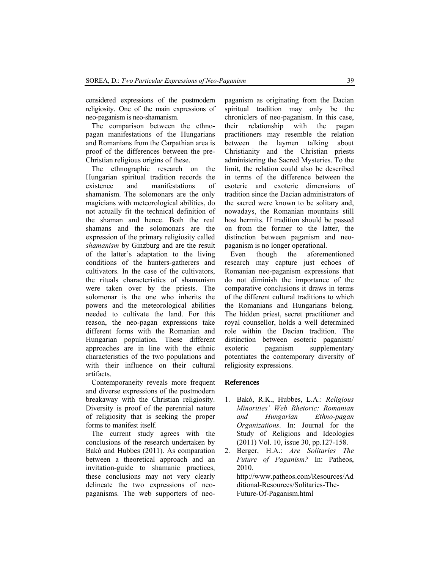considered expressions of the postmodern religiosity. One of the main expressions of neo-paganism is neo-shamanism.

The comparison between the ethnopagan manifestations of the Hungarians and Romanians from the Carpathian area is proof of the differences between the pre-Christian religious origins of these.

The ethnographic research on the Hungarian spiritual tradition records the existence and manifestations of shamanism. The solomonars are the only magicians with meteorological abilities, do not actually fit the technical definition of the shaman and hence. Both the real shamans and the solomonars are the expression of the primary religiosity called *shamanism* by Ginzburg and are the result of the latter's adaptation to the living conditions of the hunters-gatherers and cultivators. In the case of the cultivators, the rituals characteristics of shamanism were taken over by the priests. The solomonar is the one who inherits the powers and the meteorological abilities needed to cultivate the land. For this reason, the neo-pagan expressions take different forms with the Romanian and Hungarian population. These different approaches are in line with the ethnic characteristics of the two populations and with their influence on their cultural artifacts.

Contemporaneity reveals more frequent and diverse expressions of the postmodern breakaway with the Christian religiosity. Diversity is proof of the perennial nature of religiosity that is seeking the proper forms to manifest itself.

The current study agrees with the conclusions of the research undertaken by Bakó and Hubbes (2011). As comparation between a theoretical approach and an invitation-guide to shamanic practices, these conclusions may not very clearly delineate the two expressions of neopaganisms. The web supporters of neopaganism as originating from the Dacian spiritual tradition may only be the chroniclers of neo-paganism. In this case, their relationship with the pagan practitioners may resemble the relation between the laymen talking about Christianity and the Christian priests administering the Sacred Mysteries. To the limit, the relation could also be described in terms of the difference between the esoteric and exoteric dimensions of tradition since the Dacian administrators of the sacred were known to be solitary and, nowadays, the Romanian mountains still host hermits. If tradition should be passed on from the former to the latter, the distinction between paganism and neopaganism is no longer operational.

Even though the aforementioned research may capture just echoes of Romanian neo-paganism expressions that do not diminish the importance of the comparative conclusions it draws in terms of the different cultural traditions to which the Romanians and Hungarians belong. The hidden priest, secret practitioner and royal counsellor, holds a well determined role within the Dacian tradition. The distinction between esoteric paganism/ exoteric paganism supplementary potentiates the contemporary diversity of religiosity expressions.

### **References**

- 1. Bakó, R.K., Hubbes, L.A.: *Religious Minorities' Web Rhetoric: Romanian and Hungarian Ethno-pagan Organizations*. In: Journal for the Study of Religions and Ideologies (2011) Vol. 10, issue 30, pp.127-158.
- 2. Berger, H.A.: *Are Solitaries The Future of Paganism?* In: Patheos, 2010. http://www.patheos.com/Resources/Ad ditional-Resources/Solitaries-The-Future-Of-Paganism.html